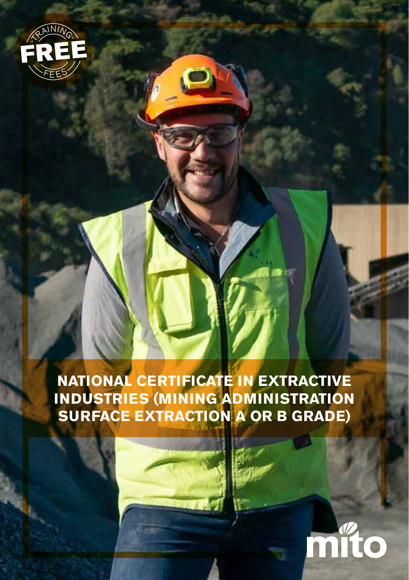

**NATIONAL CERTIFICATE IN EXTRACTIVE INDUSTRIES (MINING ADMINISTRATION SURFACE EXTRACTION A OR B GRADE)**

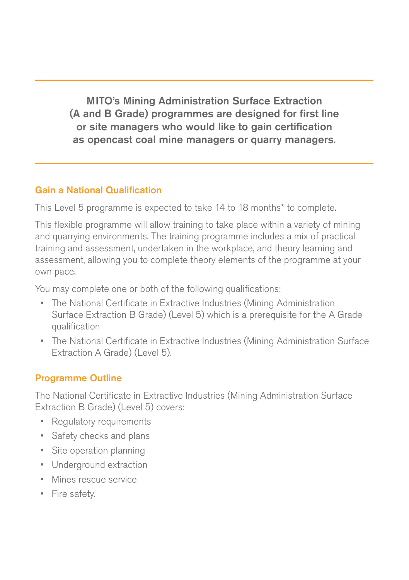MITO's Mining Administration Surface Extraction (A and B Grade) programmes are designed for first line or site managers who would like to gain certification as opencast coal mine managers or quarry managers.

### Gain a National Qualification

This Level 5 programme is expected to take 14 to 18 months\* to complete.

This flexible programme will allow training to take place within a variety of mining and quarrying environments. The training programme includes a mix of practical training and assessment, undertaken in the workplace, and theory learning and assessment, allowing you to complete theory elements of the programme at your own pace.

You may complete one or both of the following qualifications:

- The National Certificate in Extractive Industries (Mining Administration Surface Extraction B Grade) (Level 5) which is a prerequisite for the A Grade qualification
- The National Certificate in Extractive Industries (Mining Administration Surface Extraction A Grade) (Level 5).

### Programme Outline

The National Certificate in Extractive Industries (Mining Administration Surface Extraction B Grade) (Level 5) covers:

- Regulatory requirements
- Safety checks and plans
- Site operation planning
- Underground extraction
- Mines rescue service
- Fire safety.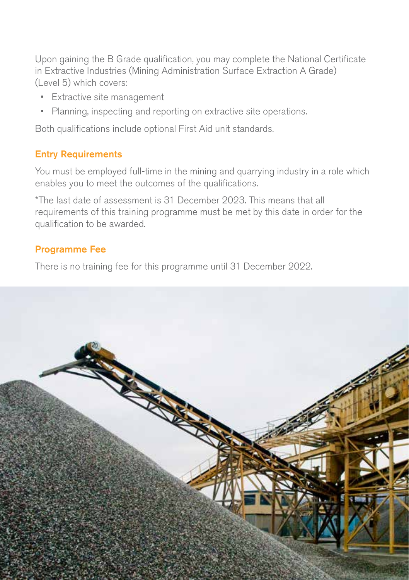Upon gaining the B Grade qualification, you may complete the National Certificate in Extractive Industries (Mining Administration Surface Extraction A Grade) (Level 5) which covers:

- Extractive site management
- Planning, inspecting and reporting on extractive site operations.

Both qualifications include optional First Aid unit standards.

## Entry Requirements

You must be employed full-time in the mining and quarrying industry in a role which enables you to meet the outcomes of the qualifications.

\*The last date of assessment is 31 December 2023. This means that all requirements of this training programme must be met by this date in order for the qualification to be awarded.

## Programme Fee

There is no training fee for this programme until 31 December 2022.